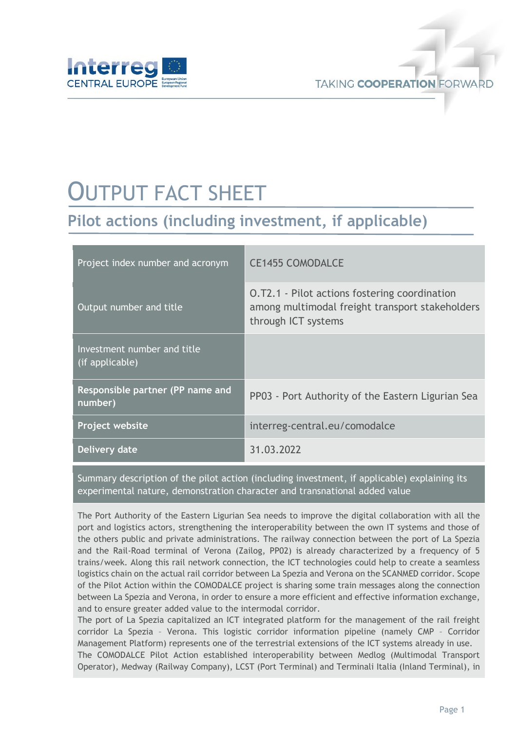

## OUTPUT FACT SHEET

**Pilot actions (including investment, if applicable)**

| Project index number and acronym               | <b>CE1455 COMODALCE</b>                                                                                                 |
|------------------------------------------------|-------------------------------------------------------------------------------------------------------------------------|
| Output number and title                        | O.T2.1 - Pilot actions fostering coordination<br>among multimodal freight transport stakeholders<br>through ICT systems |
| Investment number and title<br>(if applicable) |                                                                                                                         |
| Responsible partner (PP name and<br>number)    | PP03 - Port Authority of the Eastern Ligurian Sea                                                                       |
| <b>Project website</b>                         | interreg-central.eu/comodalce                                                                                           |
| Delivery date                                  | 31.03.2022                                                                                                              |

Summary description of the pilot action (including investment, if applicable) explaining its experimental nature, demonstration character and transnational added value

The Port Authority of the Eastern Ligurian Sea needs to improve the digital collaboration with all the port and logistics actors, strengthening the interoperability between the own IT systems and those of the others public and private administrations. The railway connection between the port of La Spezia and the Rail-Road terminal of Verona (Zailog, PP02) is already characterized by a frequency of 5 trains/week. Along this rail network connection, the ICT technologies could help to create a seamless logistics chain on the actual rail corridor between La Spezia and Verona on the SCANMED corridor. Scope of the Pilot Action within the COMODALCE project is sharing some train messages along the connection between La Spezia and Verona, in order to ensure a more efficient and effective information exchange, and to ensure greater added value to the intermodal corridor.

The port of La Spezia capitalized an ICT integrated platform for the management of the rail freight corridor La Spezia – Verona. This logistic corridor information pipeline (namely CMP – Corridor Management Platform) represents one of the terrestrial extensions of the ICT systems already in use.

The COMODALCE Pilot Action established interoperability between Medlog (Multimodal Transport Operator), Medway (Railway Company), LCST (Port Terminal) and Terminali Italia (Inland Terminal), in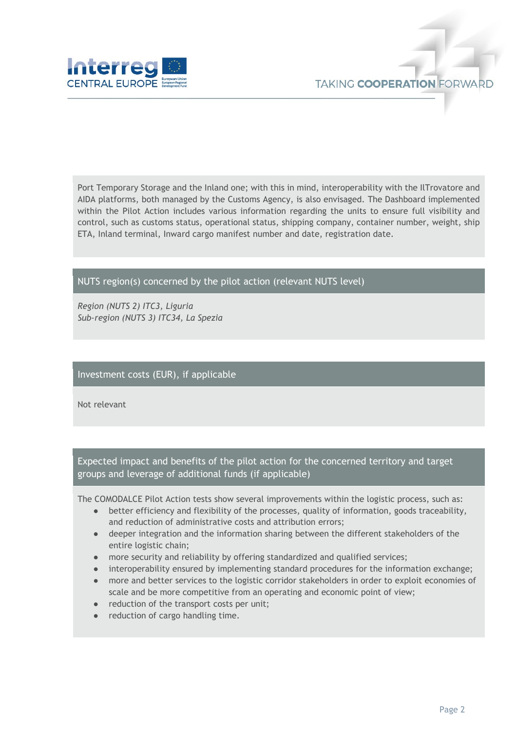

Port Temporary Storage and the Inland one; with this in mind, interoperability with the IlTrovatore and AIDA platforms, both managed by the Customs Agency, is also envisaged. The Dashboard implemented within the Pilot Action includes various information regarding the units to ensure full visibility and control, such as customs status, operational status, shipping company, container number, weight, ship ETA, Inland terminal, Inward cargo manifest number and date, registration date.

## NUTS region(s) concerned by the pilot action (relevant NUTS level)

*Region (NUTS 2) ITC3, Liguria Sub-region (NUTS 3) ITC34, La Spezia*

## Investment costs (EUR), if applicable

Not relevant

Expected impact and benefits of the pilot action for the concerned territory and target groups and leverage of additional funds (if applicable)

The COMODALCE Pilot Action tests show several improvements within the logistic process, such as:

- better efficiency and flexibility of the processes, quality of information, goods traceability, and reduction of administrative costs and attribution errors;
- deeper integration and the information sharing between the different stakeholders of the entire logistic chain;
- more security and reliability by offering standardized and qualified services;
- interoperability ensured by implementing standard procedures for the information exchange;
- more and better services to the logistic corridor stakeholders in order to exploit economies of scale and be more competitive from an operating and economic point of view;
- reduction of the transport costs per unit;
- reduction of cargo handling time.